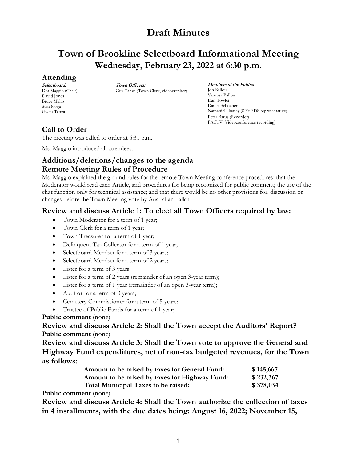# **Town of Brookline Selectboard Informational Meeting Wednesday, February 23, 2022 at 6:30 p.m.**

#### **Attending**

**Selectboard:** Dot Maggio (Chair) David Jones Bruce Mello Stan Noga Gwen Tanza

**Town Officers:** Guy Tanza (Town Clerk, videographer)

**Members of the Public:** Jon Ballou Vanessa Ballou Dan Towler Daniel Schoener Nathaniel Hussey (SEVEDS representative) Peter Barus (Recorder) FACTV (Videoconference recording)

## **Call to Order**

The meeting was called to order at 6:31 p.m.

Ms. Maggio introduced all attendees.

### **Additions/deletions/changes to the agenda Remote Meeting Rules of Procedure**

Ms. Maggio explained the ground-rules for the remote Town Meeting conference procedures; that the Moderator would read each Article, and procedures for being recognized for public comment; the use of the chat function only for technical assistance; and that there would be no other provisions for. discussion or changes before the Town Meeting vote by Australian ballot.

### **Review and discuss Article 1: To elect all Town Officers required by law:**

- Town Moderator for a term of 1 year;
- Town Clerk for a term of 1 year;
- Town Treasurer for a term of 1 year;
- Delinquent Tax Collector for a term of 1 year;
- Selectboard Member for a term of 3 years;
- Selectboard Member for a term of 2 years;
- Lister for a term of 3 years;
- Lister for a term of 2 years (remainder of an open 3-year term);
- Lister for a term of 1 year (remainder of an open 3-year term);
- Auditor for a term of 3 years;
- Cemetery Commissioner for a term of 5 years;
- Trustee of Public Funds for a term of 1 year;

#### **Public comment** (none)

**Review and discuss Article 2: Shall the Town accept the Auditors' Report? Public comment** (none)

**Review and discuss Article 3: Shall the Town vote to approve the General and Highway Fund expenditures, net of non-tax budgeted revenues, for the Town as follows:**

| Amount to be raised by taxes for General Fund: | \$145,667 |
|------------------------------------------------|-----------|
| Amount to be raised by taxes for Highway Fund: | \$232,367 |
| Total Municipal Taxes to be raised:            | \$378,034 |

**Public comment** (none)

**Review and discuss Article 4: Shall the Town authorize the collection of taxes in 4 installments, with the due dates being: August 16, 2022; November 15,**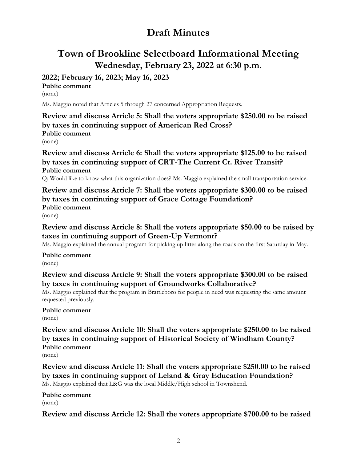# **Town of Brookline Selectboard Informational Meeting Wednesday, February 23, 2022 at 6:30 p.m.**

## **2022; February 16, 2023; May 16, 2023**

**Public comment** (none)

Ms. Maggio noted that Articles 5 through 27 concerned Appropriation Requests.

**Review and discuss Article 5: Shall the voters appropriate \$250.00 to be raised by taxes in continuing support of American Red Cross? Public comment** (none)

**Review and discuss Article 6: Shall the voters appropriate \$125.00 to be raised by taxes in continuing support of CRT-The Current Ct. River Transit? Public comment**

Q: Would like to know what this organization does? Ms. Maggio explained the small transportation service.

**Review and discuss Article 7: Shall the voters appropriate \$300.00 to be raised by taxes in continuing support of Grace Cottage Foundation? Public comment** (none)

**Review and discuss Article 8: Shall the voters appropriate \$50.00 to be raised by taxes in continuing support of Green-Up Vermont?**

Ms. Maggio explained the annual program for picking up litter along the roads on the first Saturday in May.

**Public comment** (none)

**Review and discuss Article 9: Shall the voters appropriate \$300.00 to be raised by taxes in continuing support of Groundworks Collaborative?**

Ms. Maggio explained that the program in Brattleboro for people in need was requesting the same amount requested previously.

#### **Public comment** (none)

**Review and discuss Article 10: Shall the voters appropriate \$250.00 to be raised by taxes in continuing support of Historical Society of Windham County? Public comment**

(none)

**Review and discuss Article 11: Shall the voters appropriate \$250.00 to be raised by taxes in continuing support of Leland & Gray Education Foundation?** Ms. Maggio explained that L&G was the local Middle/High school in Townshend.

**Public comment** (none)

**Review and discuss Article 12: Shall the voters appropriate \$700.00 to be raised**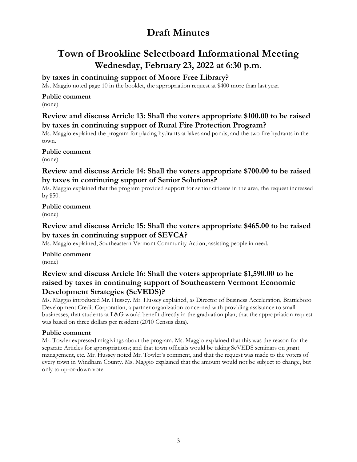# **Town of Brookline Selectboard Informational Meeting Wednesday, February 23, 2022 at 6:30 p.m.**

### **by taxes in continuing support of Moore Free Library?**

Ms. Maggio noted page 10 in the booklet, the appropriation request at \$400 more than last year.

#### **Public comment**

(none)

#### **Review and discuss Article 13: Shall the voters appropriate \$100.00 to be raised by taxes in continuing support of Rural Fire Protection Program?**

Ms. Maggio explained the program for placing hydrants at lakes and ponds, and the two fire hydrants in the town.

**Public comment**

(none)

### **Review and discuss Article 14: Shall the voters appropriate \$700.00 to be raised by taxes in continuing support of Senior Solutions?**

Ms. Maggio explained that the program provided support for senior citizens in the area, the request increased by \$50.

#### **Public comment** (none)

### **Review and discuss Article 15: Shall the voters appropriate \$465.00 to be raised by taxes in continuing support of SEVCA?**

Ms. Maggio explained, Southeastern Vermont Community Action, assisting people in need.

**Public comment** (none)

### **Review and discuss Article 16: Shall the voters appropriate \$1,590.00 to be raised by taxes in continuing support of Southeastern Vermont Economic Development Strategies (SeVEDS)?**

Ms. Maggio introduced Mr. Hussey. Mr. Hussey explained, as Director of Business Acceleration, Brattleboro Development Credit Corporation, a partner organization concerned with providing assistance to small businesses, that students at L&G would benefit directly in the graduation plan; that the appropriation request was based on three dollars per resident (2010 Census data).

#### **Public comment**

Mr. Towler expressed misgivings about the program. Ms. Maggio explained that this was the reason for the separate Articles for appropriations; and that town officials would be taking SeVEDS seminars on grant management, etc. Mr. Hussey noted Mr. Towler's comment, and that the request was made to the voters of every town in Windham County. Ms. Maggio explained that the amount would not be subject to change, but only to up-or-down vote.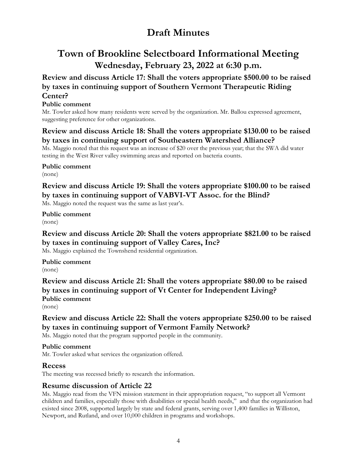# **Town of Brookline Selectboard Informational Meeting Wednesday, February 23, 2022 at 6:30 p.m.**

**Review and discuss Article 17: Shall the voters appropriate \$500.00 to be raised by taxes in continuing support of Southern Vermont Therapeutic Riding Center?**

#### **Public comment**

Mr. Towler asked how many residents were served by the organization. Mr. Ballou expressed agreement, suggesting preference for other organizations.

### **Review and discuss Article 18: Shall the voters appropriate \$130.00 to be raised by taxes in continuing support of Southeastern Watershed Alliance?**

Ms. Maggio noted that this request was an increase of \$20 over the previous year; that the SWA did water testing in the West River valley swimming areas and reported on bacteria counts.

**Public comment** (none)

## **Review and discuss Article 19: Shall the voters appropriate \$100.00 to be raised by taxes in continuing support of VABVI-VT Assoc. for the Blind?**

Ms. Maggio noted the request was the same as last year's.

**Public comment** (none)

## **Review and discuss Article 20: Shall the voters appropriate \$821.00 to be raised by taxes in continuing support of Valley Cares, Inc?**

Ms. Maggio explained the Townshend residential organization.

**Public comment** (none)

**Review and discuss Article 21: Shall the voters appropriate \$80.00 to be raised by taxes in continuing support of Vt Center for Independent Living? Public comment**

(none)

## **Review and discuss Article 22: Shall the voters appropriate \$250.00 to be raised by taxes in continuing support of Vermont Family Network?**

Ms. Maggio noted that the program supported people in the community.

#### **Public comment**

Mr. Towler asked what services the organization offered.

#### **Recess**

The meeting was recessed briefly to research the information.

#### **Resume discussion of Article 22**

Ms. Maggio read from the VFN mission statement in their appropriation request, "to support all Vermont children and families, especially those with disabilities or special health needs," and that the organization had existed since 2008, supported largely by state and federal grants, serving over 1,400 families in Williston, Newport, and Rutland, and over 10,000 children in programs and workshops.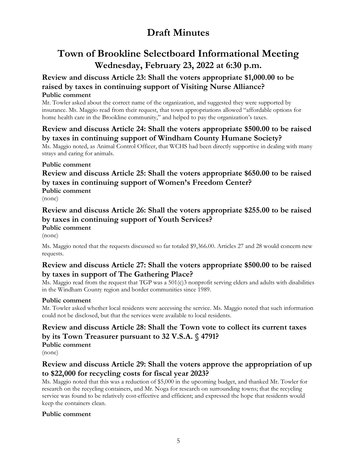# **Town of Brookline Selectboard Informational Meeting Wednesday, February 23, 2022 at 6:30 p.m.**

#### **Review and discuss Article 23: Shall the voters appropriate \$1,000.00 to be raised by taxes in continuing support of Visiting Nurse Alliance? Public comment**

Mr. Towler asked about the correct name of the organization, and suggested they were supported by insurance. Ms. Maggio read from their request, that town appropriations allowed "affordable options for home health care in the Brookline community," and helped to pay the organization's taxes.

### **Review and discuss Article 24: Shall the voters appropriate \$500.00 to be raised by taxes in continuing support of Windham County Humane Society?**

Ms. Maggio noted, as Animal Control Officer, that WCHS had been directly supportive in dealing with many strays and caring for animals.

#### **Public comment**

## **Review and discuss Article 25: Shall the voters appropriate \$650.00 to be raised by taxes in continuing support of Women's Freedom Center? Public comment**

(none)

#### **Review and discuss Article 26: Shall the voters appropriate \$255.00 to be raised by taxes in continuing support of Youth Services? Public comment**

(none)

Ms. Maggio noted that the requests discussed so far totaled \$9,366.00. Articles 27 and 28 would concern new requests.

### **Review and discuss Article 27: Shall the voters appropriate \$500.00 to be raised by taxes in support of The Gathering Place?**

Ms. Maggio read from the request that TGP was a 501(c)3 nonprofit serving elders and adults with disabilities in the Windham County region and border communities since 1989.

#### **Public comment**

Mr. Towler asked whether local residents were accessing the service. Ms. Maggio noted that such information could not be disclosed, but that the services were available to local residents.

## **Review and discuss Article 28: Shall the Town vote to collect its current taxes by its Town Treasurer pursuant to 32 V.S.A. § 4791? Public comment**

(none)

## **Review and discuss Article 29: Shall the voters approve the appropriation of up to \$22,000 for recycling costs for fiscal year 2023?**

Ms. Maggio noted that this was a reduction of \$5,000 in the upcoming budget, and thanked Mr. Towler for research on the recycling containers, and Mr. Noga for research on surrounding towns; that the recycling service was found to be relatively cost-effective and efficient; and expressed the hope that residents would keep the containers clean.

#### **Public comment**